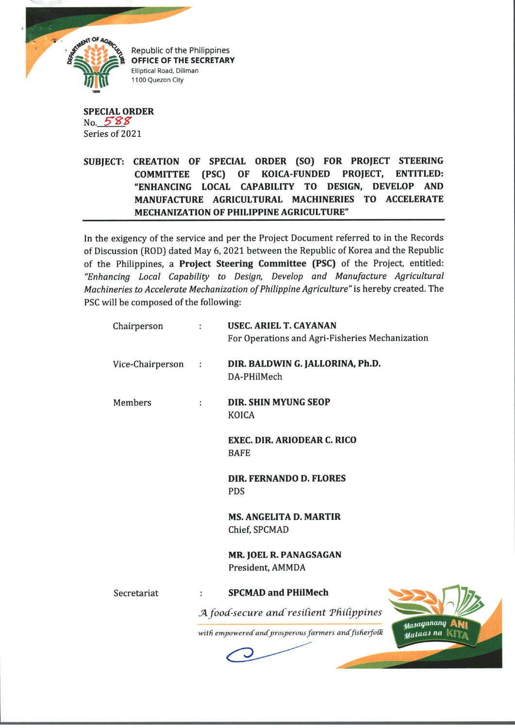

Republic of the Philippines **OFFICE OF THE SECRETARY** Elliptical Road, Diliman 1100 Quezon City

**SPECIAL ORDER** No.  $588$ Series of 2021

**SUBJECT: CREATION OF SPECIAL ORDER (SO) FOR PROJECT STEERING COMMITTEE (PSC) OF KOICA-FUNDED PROJECT, ENTITLED: "ENHANCING LOCAL CAPABILITY TO DESIGN, DEVELOP AND MANUFACTURE AGRICULTURAL MACHINERIES TO ACCELERATE MECHANIZATION OF PHILIPPINE AGRICULTURE"**

In the exigency of the service and per the Project Document referred to in the Records of Discussion (ROD) dated May 6, 2021 between the Republic of Korea and the Republic of the Philippines, a **Project Steering Committee (PSC)** of the Project, entitled: *"Enhancing Local Capability to Design, Develop and Manufacture Agricultural Machineries to Accelerate Mechanization of Philippine Agriculture"* is hereby created. The PSC will be composed of the following:

| Chairperson      |           | <b>USEC. ARIEL T. CAYANAN</b><br>For Operations and Agri-Fisheries Mechanization |            |
|------------------|-----------|----------------------------------------------------------------------------------|------------|
| Vice-Chairperson | $\cdot$ : | DIR. BALDWIN G. JALLORINA, Ph.D.<br>DA-PHilMech                                  |            |
| <b>Members</b>   | ÷         | <b>DIR. SHIN MYUNG SEOP</b><br><b>KOICA</b>                                      |            |
|                  |           | <b>EXEC. DIR. ARIODEAR C. RICO</b><br><b>BAFE</b>                                |            |
|                  |           | <b>DIR. FERNANDO D. FLORES</b><br><b>PDS</b>                                     |            |
|                  |           | <b>MS. ANGELITA D. MARTIR</b><br>Chief, SPCMAD                                   |            |
|                  |           | MR. JOEL R. PANAGSAGAN<br>President, AMMDA                                       |            |
| Secretariat      | ÷         | <b>SPCMAD and PHilMech</b>                                                       |            |
|                  |           | A food-secure and resilient Philippines                                          |            |
|                  |           | with empowered and prosperous farmers and fisherfolk<br>Mataas na                | Masaganang |